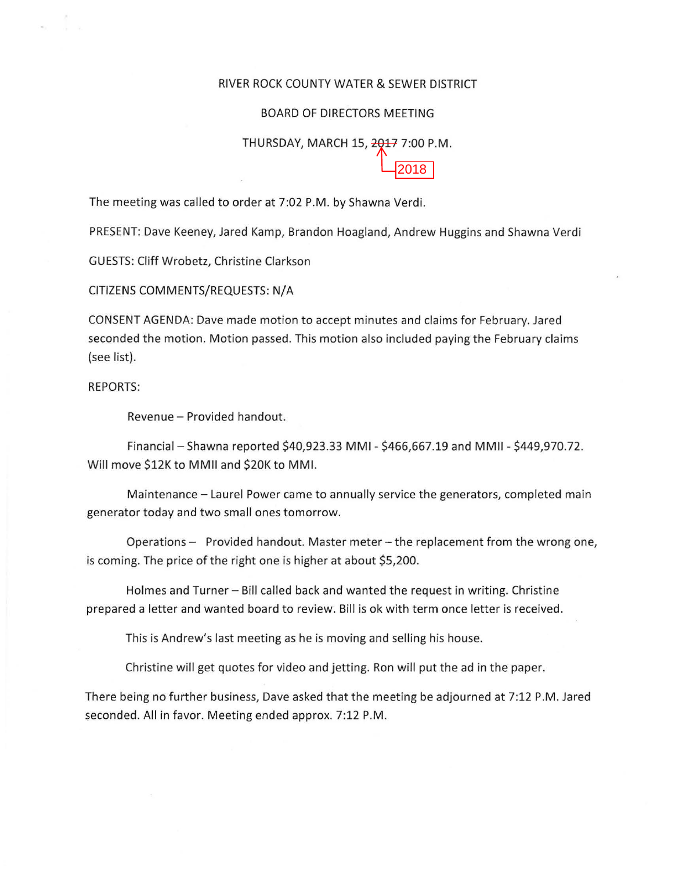## RIVER ROCK COUNTY WATER & SEWER DISTRICT

## BOARD OF DIRECTORS MEETING

## THURSDAY, MARCH 15, 2017 7:00 P.M. 2018

The meeting was called to order at 7:02 P.M. by Shawna Verdi.

PRESENT: Dave Keeney, Jared Kamp, Brandon Hoagland, Andrew Huggins and Shawna Verdi

GUESTS: Cliff Wrobetz, Christine Clarkson

CITIZENS COMMENTS/REQUESTS: N/A

CONSENT AGENDA: Dave made motion to accept minutes and claims for February. Jared seconded the motion. Motion passed. This motion also included paying the February claims (see list).

REPORTS:

Revenue- Provided handout.

Financial- Shawna reported \$40,923.33 MMI- \$466,667.19 and MMII- \$449,970.72. Will move \$12K to MMII and \$20K to MMI.

Maintenance- Laurel Power came to annually service the generators, completed main generator today and two small ones tomorrow.

Operations - Provided handout. Master meter - the replacement from the wrong one, is coming. The price of the right one is higher at about \$5,200.

Holmes and Turner - Bill called back and wanted the request in writing. Christine prepared a letter and wanted board to review. Bill is ok with term once letter is received.

This is Andrew's last meeting as he is moving and selling his house.

Christine will get quotes for video and jetting. Ron will put the ad in the paper.

There being no further business, Dave asked that the meeting be adjourned at 7:12P.M. Jared seconded. All in favor. Meeting ended approx. 7:12 P.M.